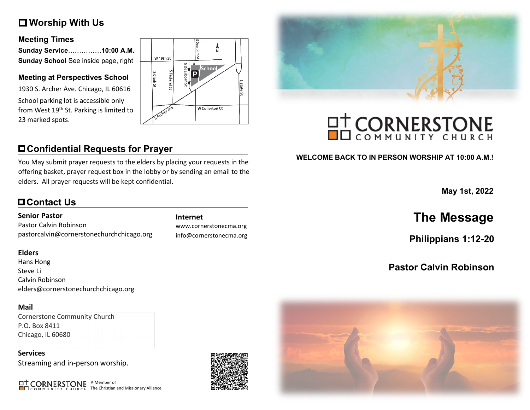# **Worship With Us**

#### **Meeting Times**

| Sunday Service10:00 A.M.             |  |
|--------------------------------------|--|
| Sunday School See inside page, right |  |

#### **Meeting at Perspectives School**

1930 S. Archer Ave. Chicago, IL 60616 School parking lot is accessible only from West 19<sup>th</sup> St. Parking is limited to 23 marked spots.



# **Confidential Requests for Prayer**

You May submit prayer requests to the elders by placing your requests in the offering basket, prayer request box in the lobby or by sending an email to the elders. All prayer requests will be kept confidential.

# **Contact Us**

#### **Senior Pastor**

Pastor Calvin Robinson pastorcalvin@cornerstonechurchchicago.org

#### **Elders**

Hans Hong Steve Li Calvin Robinson elders@cornerstonechurchchicago.org

#### **Mail**

Cornerstone Community Church P.O. Box 8411 Chicago, IL 60680

**Services** Streaming and in-person worship.

A Member of The Christian and Missionary Alliance



www.cornerstonecma.org info@cornerstonecma.org



# **OT CORNERSTONE**

#### **WELCOME BACK TO IN PERSON WORSHIP AT 10:00 A.M.!**

**May 1st, 2022**

# **Internet The Message**

**Philippians 1:12-20**

# **Pastor Calvin Robinson**